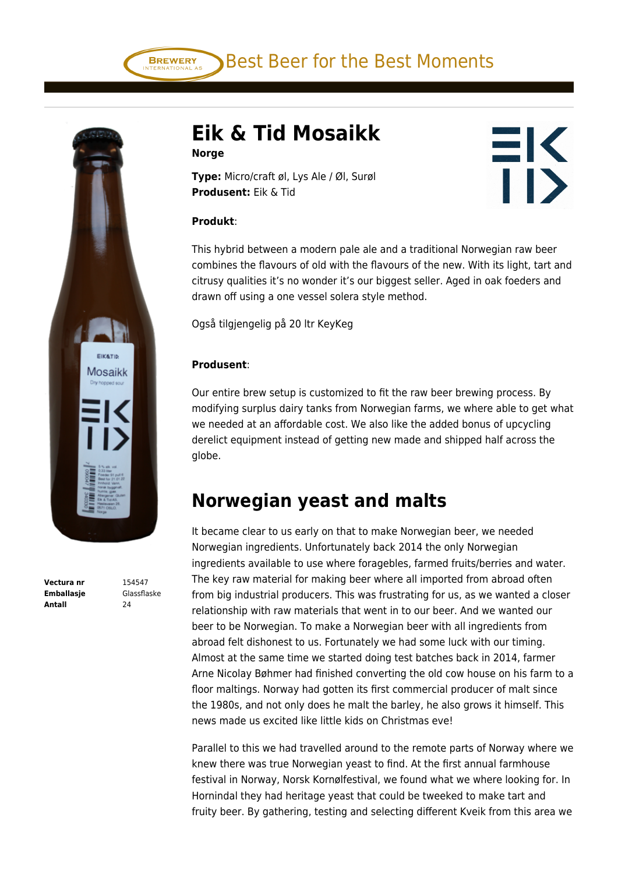# **Eik & Tid Mosaikk**

**Norge**

**Type:** Micro/craft øl, Lys Ale / Øl, Surøl **Produsent:** Eik & Tid

### **Produkt**:

This hybrid between a modern pale ale and a traditional Norwegian raw beer combines the flavours of old with the flavours of the new. With its light, tart and citrusy qualities it's no wonder it's our biggest seller. Aged in oak foeders and drawn off using a one vessel solera style method.

 $\equiv$ K

**Tİ>** 

Også tilgjengelig på 20 ltr KeyKeg

## **Produsent**:

Our entire brew setup is customized to fit the raw beer brewing process. By modifying surplus dairy tanks from Norwegian farms, we where able to get what we needed at an affordable cost. We also like the added bonus of upcycling derelict equipment instead of getting new made and shipped half across the globe.

# **Norwegian yeast and malts**

It became clear to us early on that to make Norwegian beer, we needed Norwegian ingredients. Unfortunately back 2014 the only Norwegian ingredients available to use where foragebles, farmed fruits/berries and water. The key raw material for making beer where all imported from abroad often from big industrial producers. This was frustrating for us, as we wanted a closer relationship with raw materials that went in to our beer. And we wanted our beer to be Norwegian. To make a Norwegian beer with all ingredients from abroad felt dishonest to us. Fortunately we had some luck with our timing. Almost at the same time we started doing test batches back in 2014, farmer Arne Nicolay Bøhmer had finished converting the old cow house on his farm to a floor maltings. Norway had gotten its first commercial producer of malt since the 1980s, and not only does he malt the barley, he also grows it himself. This news made us excited like little kids on Christmas eve!

Parallel to this we had travelled around to the remote parts of Norway where we knew there was true Norwegian yeast to find. At the first annual farmhouse festival in Norway, Norsk Kornølfestival, we found what we where looking for. In Hornindal they had heritage yeast that could be tweeked to make tart and fruity beer. By gathering, testing and selecting different Kveik from this area we

**Vectura nr** 154547 **Emballasje** Glassflaske **Antall** 24

Best Beer for the Best Moments



**BREWERY**